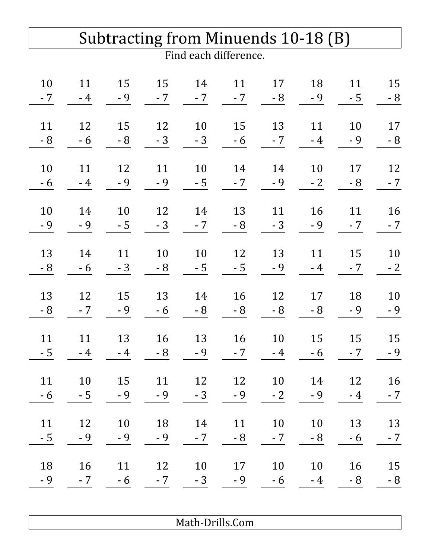| Subtracting from Minuends 10-18 (B) |      |      |      |      |      |      |      |      |      |  |
|-------------------------------------|------|------|------|------|------|------|------|------|------|--|
| Find each difference.               |      |      |      |      |      |      |      |      |      |  |
| 10                                  | 11   | 15   | 15   | 14   | 11   | 17   | 18   | 11   | 15   |  |
| - 7                                 | $-4$ | $-9$ | $-7$ | $-7$ | $-7$ | - 8  | - 9  | $-5$ | $-8$ |  |
| 11                                  | 12   | 15   | 12   | 10   | 15   | 13   | 11   | 10   | 17   |  |
| - 8                                 | $-6$ | $-8$ | $-3$ | $-3$ | $-6$ | $-7$ | $-4$ | $-9$ | $-8$ |  |
| 10                                  | 11   | 12   | 11   | 10   | 14   | 14   | 10   | 17   | 12   |  |
| - 6                                 | $-4$ | $-9$ | - 9  | $-5$ | $-7$ | $-9$ | $-2$ | $-8$ | $-7$ |  |
| 10                                  | 14   | 10   | 12   | 14   | 13   | 11   | 16   | 11   | 16   |  |
| - 9                                 | $-9$ | $-5$ | $-3$ | - 7  | $-8$ | $-3$ | - 9  | $-7$ | $-7$ |  |
| 13                                  | 14   | 11   | 10   | 10   | 12   | 13   | 11   | 15   | 10   |  |
| - 8                                 | $-6$ | $-3$ | $-8$ | $-5$ | $-5$ | $-9$ | $-4$ | $-7$ | $-2$ |  |
| 13                                  | 12   | 15   | 13   | 14   | 16   | 12   | 17   | 18   | 10   |  |
| - 8                                 | $-7$ | $-9$ | $-6$ | - 8  | - 8  | $-8$ | - 8  | $-9$ | $-9$ |  |
| 11                                  | 11   | 13   | 16   | 13   | 16   | 10   | 15   | 15   | 15   |  |
| $-5$                                | $-4$ | $-4$ | $-8$ | $-9$ | $-7$ | $-4$ | - 6  | $-7$ | $-9$ |  |
| 11                                  | 10   | 15   | 11   | 12   | 12   | 10   | 14   | 12   | 16   |  |
| $-6$                                | $-5$ | $-9$ | $-9$ | $-3$ | $-9$ | $-2$ | $-9$ | $-4$ | $-7$ |  |
| 11                                  | 12   | 10   | 18   | 14   | 11   | 10   | 10   | 13   | 13   |  |
| $-5$                                | $-9$ | $-9$ | $-9$ | $-7$ | $-8$ | $-7$ | - 8  | $-6$ | $-7$ |  |
| 18                                  | 16   | 11   | 12   | 10   | 17   | 10   | 10   | 16   | 15   |  |
| $-9$                                | $-7$ | $-6$ | $-7$ | $-3$ | $-9$ | $-6$ | $-4$ | $-8$ | $-8$ |  |
|                                     |      |      |      |      |      |      |      |      |      |  |

Math-Drills.Com